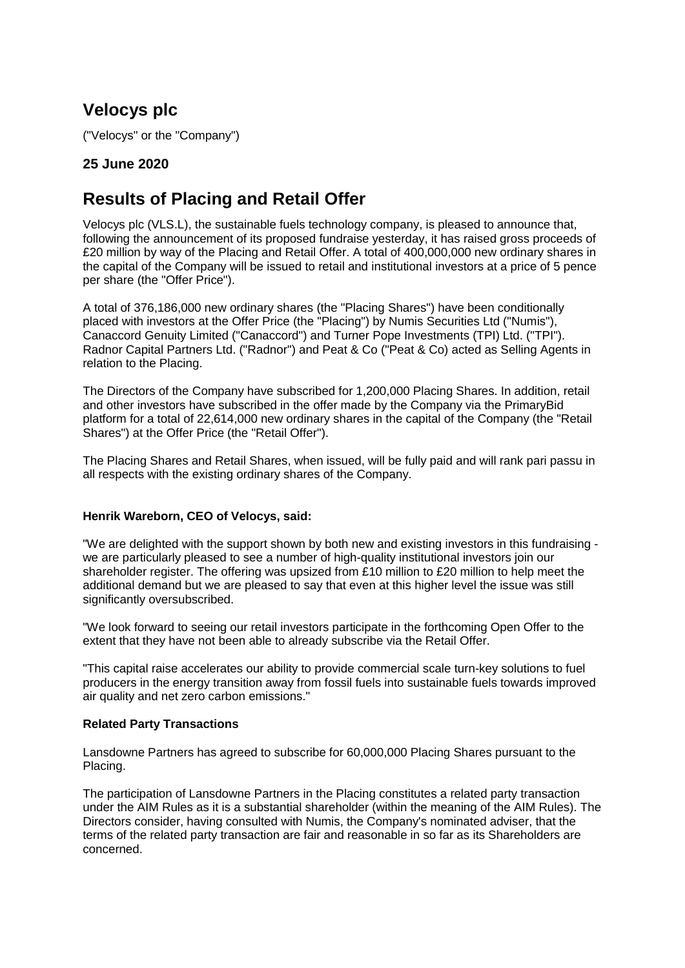# **Velocys plc**

("Velocys" or the "Company")

# **25 June 2020**

# **Results of Placing and Retail Offer**

Velocys plc (VLS.L), the sustainable fuels technology company, is pleased to announce that, following the announcement of its proposed fundraise yesterday, it has raised gross proceeds of £20 million by way of the Placing and Retail Offer. A total of 400,000,000 new ordinary shares in the capital of the Company will be issued to retail and institutional investors at a price of 5 pence per share (the "Offer Price").

A total of 376,186,000 new ordinary shares (the "Placing Shares") have been conditionally placed with investors at the Offer Price (the "Placing") by Numis Securities Ltd ("Numis"), Canaccord Genuity Limited ("Canaccord") and Turner Pope Investments (TPI) Ltd. ("TPI"). Radnor Capital Partners Ltd. ("Radnor") and Peat & Co ("Peat & Co) acted as Selling Agents in relation to the Placing.

The Directors of the Company have subscribed for 1,200,000 Placing Shares. In addition, retail and other investors have subscribed in the offer made by the Company via the PrimaryBid platform for a total of 22,614,000 new ordinary shares in the capital of the Company (the "Retail Shares") at the Offer Price (the "Retail Offer").

The Placing Shares and Retail Shares, when issued, will be fully paid and will rank pari passu in all respects with the existing ordinary shares of the Company.

# **Henrik Wareborn, CEO of Velocys, said:**

"We are delighted with the support shown by both new and existing investors in this fundraising we are particularly pleased to see a number of high-quality institutional investors join our shareholder register. The offering was upsized from £10 million to £20 million to help meet the additional demand but we are pleased to say that even at this higher level the issue was still significantly oversubscribed.

"We look forward to seeing our retail investors participate in the forthcoming Open Offer to the extent that they have not been able to already subscribe via the Retail Offer.

"This capital raise accelerates our ability to provide commercial scale turn-key solutions to fuel producers in the energy transition away from fossil fuels into sustainable fuels towards improved air quality and net zero carbon emissions."

# **Related Party Transactions**

Lansdowne Partners has agreed to subscribe for 60,000,000 Placing Shares pursuant to the Placing.

The participation of Lansdowne Partners in the Placing constitutes a related party transaction under the AIM Rules as it is a substantial shareholder (within the meaning of the AIM Rules). The Directors consider, having consulted with Numis, the Company's nominated adviser, that the terms of the related party transaction are fair and reasonable in so far as its Shareholders are concerned.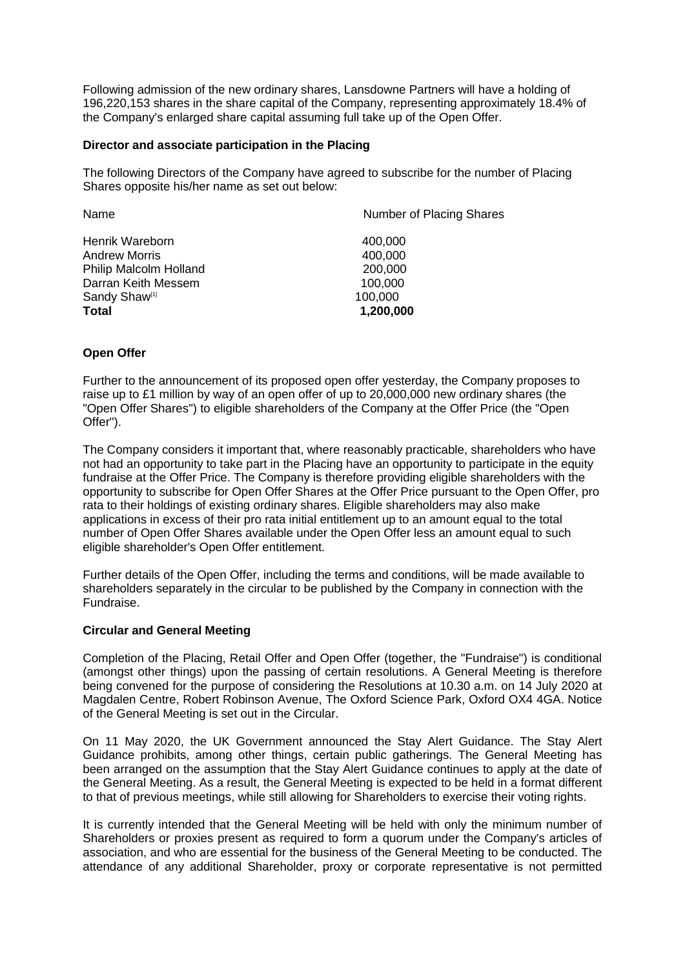Following admission of the new ordinary shares, Lansdowne Partners will have a holding of 196,220,153 shares in the share capital of the Company, representing approximately 18.4% of the Company's enlarged share capital assuming full take up of the Open Offer.

## **Director and associate participation in the Placing**

The following Directors of the Company have agreed to subscribe for the number of Placing Shares opposite his/her name as set out below:

| Name                      | Number of Placing Shares |  |
|---------------------------|--------------------------|--|
| Henrik Wareborn           | 400,000                  |  |
| <b>Andrew Morris</b>      | 400,000                  |  |
| Philip Malcolm Holland    | 200,000                  |  |
| Darran Keith Messem       | 100,000                  |  |
| Sandy Shaw <sup>[1]</sup> | 100,000                  |  |
| <b>Total</b>              | 1,200,000                |  |
|                           |                          |  |

# **Open Offer**

Further to the announcement of its proposed open offer yesterday, the Company proposes to raise up to £1 million by way of an open offer of up to 20,000,000 new ordinary shares (the "Open Offer Shares") to eligible shareholders of the Company at the Offer Price (the "Open Offer").

The Company considers it important that, where reasonably practicable, shareholders who have not had an opportunity to take part in the Placing have an opportunity to participate in the equity fundraise at the Offer Price. The Company is therefore providing eligible shareholders with the opportunity to subscribe for Open Offer Shares at the Offer Price pursuant to the Open Offer, pro rata to their holdings of existing ordinary shares. Eligible shareholders may also make applications in excess of their pro rata initial entitlement up to an amount equal to the total number of Open Offer Shares available under the Open Offer less an amount equal to such eligible shareholder's Open Offer entitlement.

Further details of the Open Offer, including the terms and conditions, will be made available to shareholders separately in the circular to be published by the Company in connection with the Fundraise.

# **Circular and General Meeting**

Completion of the Placing, Retail Offer and Open Offer (together, the "Fundraise") is conditional (amongst other things) upon the passing of certain resolutions. A General Meeting is therefore being convened for the purpose of considering the Resolutions at 10.30 a.m. on 14 July 2020 at Magdalen Centre, Robert Robinson Avenue, The Oxford Science Park, Oxford OX4 4GA. Notice of the General Meeting is set out in the Circular.

On 11 May 2020, the UK Government announced the Stay Alert Guidance. The Stay Alert Guidance prohibits, among other things, certain public gatherings. The General Meeting has been arranged on the assumption that the Stay Alert Guidance continues to apply at the date of the General Meeting. As a result, the General Meeting is expected to be held in a format different to that of previous meetings, while still allowing for Shareholders to exercise their voting rights.

It is currently intended that the General Meeting will be held with only the minimum number of Shareholders or proxies present as required to form a quorum under the Company's articles of association, and who are essential for the business of the General Meeting to be conducted. The attendance of any additional Shareholder, proxy or corporate representative is not permitted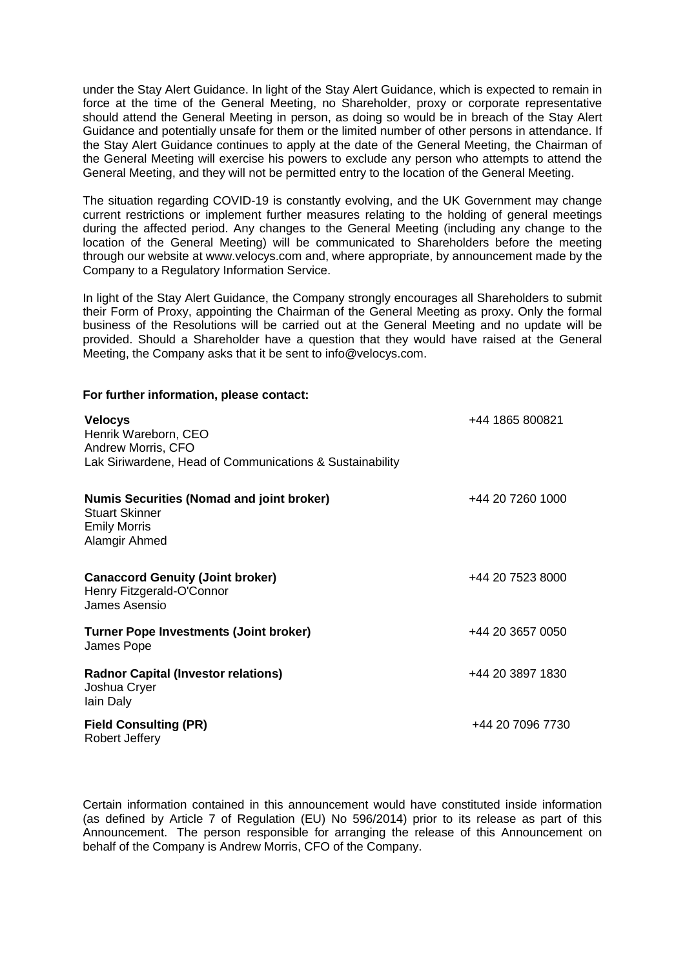under the Stay Alert Guidance. In light of the Stay Alert Guidance, which is expected to remain in force at the time of the General Meeting, no Shareholder, proxy or corporate representative should attend the General Meeting in person, as doing so would be in breach of the Stay Alert Guidance and potentially unsafe for them or the limited number of other persons in attendance. If the Stay Alert Guidance continues to apply at the date of the General Meeting, the Chairman of the General Meeting will exercise his powers to exclude any person who attempts to attend the General Meeting, and they will not be permitted entry to the location of the General Meeting.

The situation regarding COVID-19 is constantly evolving, and the UK Government may change current restrictions or implement further measures relating to the holding of general meetings during the affected period. Any changes to the General Meeting (including any change to the location of the General Meeting) will be communicated to Shareholders before the meeting through our website at www.velocys.com and, where appropriate, by announcement made by the Company to a Regulatory Information Service.

In light of the Stay Alert Guidance, the Company strongly encourages all Shareholders to submit their Form of Proxy, appointing the Chairman of the General Meeting as proxy. Only the formal business of the Resolutions will be carried out at the General Meeting and no update will be provided. Should a Shareholder have a question that they would have raised at the General Meeting, the Company asks that it be sent to info@velocys.com.

**For further information, please contact:**

| <b>Velocys</b><br>Henrik Wareborn, CEO<br>Andrew Morris, CFO<br>Lak Siriwardene, Head of Communications & Sustainability | +44 1865 800821  |
|--------------------------------------------------------------------------------------------------------------------------|------------------|
| <b>Numis Securities (Nomad and joint broker)</b><br><b>Stuart Skinner</b><br><b>Emily Morris</b><br>Alamgir Ahmed        | +44 20 7260 1000 |
| <b>Canaccord Genuity (Joint broker)</b><br>Henry Fitzgerald-O'Connor<br>James Asensio                                    | +44 20 7523 8000 |
| <b>Turner Pope Investments (Joint broker)</b><br>James Pope                                                              | +44 20 3657 0050 |
| <b>Radnor Capital (Investor relations)</b><br>Joshua Cryer<br>lain Daly                                                  | +44 20 3897 1830 |
| <b>Field Consulting (PR)</b><br>Robert Jeffery                                                                           | +44 20 7096 7730 |

Certain information contained in this announcement would have constituted inside information (as defined by Article 7 of Regulation (EU) No 596/2014) prior to its release as part of this Announcement. The person responsible for arranging the release of this Announcement on behalf of the Company is Andrew Morris, CFO of the Company.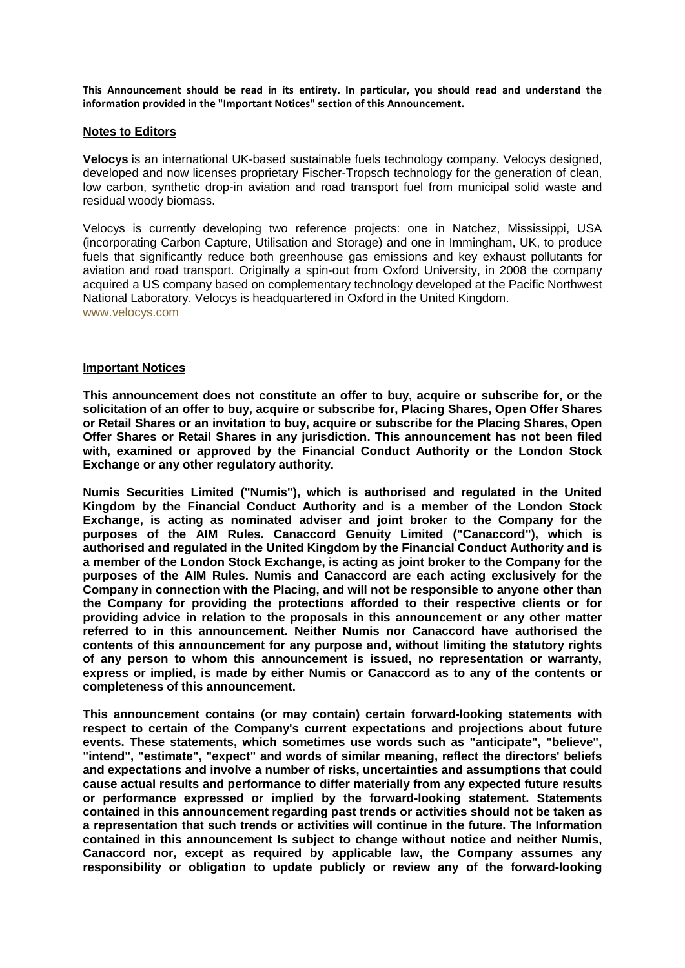**This Announcement should be read in its entirety. In particular, you should read and understand the information provided in the "Important Notices" section of this Announcement.**

#### **Notes to Editors**

**Velocys** is an international UK-based sustainable fuels technology company. Velocys designed, developed and now licenses proprietary Fischer-Tropsch technology for the generation of clean, low carbon, synthetic drop-in aviation and road transport fuel from municipal solid waste and residual woody biomass.

Velocys is currently developing two reference projects: one in Natchez, Mississippi, USA (incorporating Carbon Capture, Utilisation and Storage) and one in Immingham, UK, to produce fuels that significantly reduce both greenhouse gas emissions and key exhaust pollutants for aviation and road transport. Originally a spin-out from Oxford University, in 2008 the company acquired a US company based on complementary technology developed at the Pacific Northwest National Laboratory. Velocys is headquartered in Oxford in the United Kingdom. [www.velocys.com](http://www.velocys.com/)

### **Important Notices**

**This announcement does not constitute an offer to buy, acquire or subscribe for, or the solicitation of an offer to buy, acquire or subscribe for, Placing Shares, Open Offer Shares or Retail Shares or an invitation to buy, acquire or subscribe for the Placing Shares, Open Offer Shares or Retail Shares in any jurisdiction. This announcement has not been filed with, examined or approved by the Financial Conduct Authority or the London Stock Exchange or any other regulatory authority.**

**Numis Securities Limited ("Numis"), which is authorised and regulated in the United Kingdom by the Financial Conduct Authority and is a member of the London Stock Exchange, is acting as nominated adviser and joint broker to the Company for the purposes of the AIM Rules. Canaccord Genuity Limited ("Canaccord"), which is authorised and regulated in the United Kingdom by the Financial Conduct Authority and is a member of the London Stock Exchange, is acting as joint broker to the Company for the purposes of the AIM Rules. Numis and Canaccord are each acting exclusively for the Company in connection with the Placing, and will not be responsible to anyone other than the Company for providing the protections afforded to their respective clients or for providing advice in relation to the proposals in this announcement or any other matter referred to in this announcement. Neither Numis nor Canaccord have authorised the contents of this announcement for any purpose and, without limiting the statutory rights of any person to whom this announcement is issued, no representation or warranty, express or implied, is made by either Numis or Canaccord as to any of the contents or completeness of this announcement.**

**This announcement contains (or may contain) certain forward-looking statements with respect to certain of the Company's current expectations and projections about future events. These statements, which sometimes use words such as "anticipate", "believe", "intend", "estimate", "expect" and words of similar meaning, reflect the directors' beliefs and expectations and involve a number of risks, uncertainties and assumptions that could cause actual results and performance to differ materially from any expected future results or performance expressed or implied by the forward-looking statement. Statements contained in this announcement regarding past trends or activities should not be taken as a representation that such trends or activities will continue in the future. The Information contained in this announcement Is subject to change without notice and neither Numis, Canaccord nor, except as required by applicable law, the Company assumes any responsibility or obligation to update publicly or review any of the forward-looking**